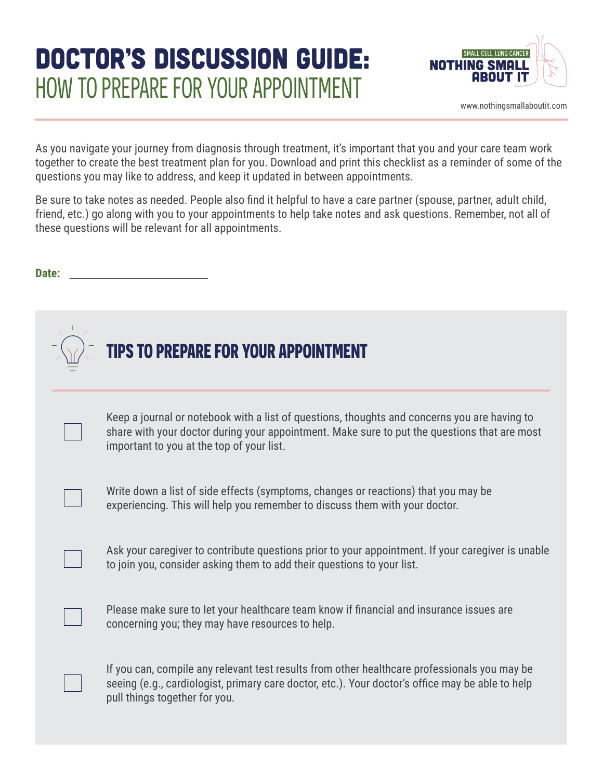# DOCTOR'S DISCUSSION GUIDE: HOW TO PREPARE FOR YOUR APPOINTMENT



[www.nothingsmallaboutit.com](http://www.nothingsmallaboutit.com)

As you navigate your journey from diagnosis through treatment, it's important that you and your care team work together to create the best treatment plan for you. Download and print this checklist as a reminder of some of the questions you may like to address, and keep it updated in between appointments.

Be sure to take notes as needed. People also find it helpful to have a care partner (spouse, partner, adult child, friend, etc.) go along with you to your appointments to help take notes and ask questions. Remember, not all of these questions will be relevant for all appointments.

**Date:** 

|  | <b>TIPS TO PREPARE FOR YOUR APPOINTMENT</b>                                                                                                                                                                                               |
|--|-------------------------------------------------------------------------------------------------------------------------------------------------------------------------------------------------------------------------------------------|
|  | Keep a journal or notebook with a list of questions, thoughts and concerns you are having to<br>share with your doctor during your appointment. Make sure to put the questions that are most<br>important to you at the top of your list. |
|  | Write down a list of side effects (symptoms, changes or reactions) that you may be<br>experiencing. This will help you remember to discuss them with your doctor.                                                                         |
|  | Ask your caregiver to contribute questions prior to your appointment. If your caregiver is unable<br>to join you, consider asking them to add their questions to your list.                                                               |
|  | Please make sure to let your healthcare team know if financial and insurance issues are<br>concerning you; they may have resources to help.                                                                                               |
|  | If you can, compile any relevant test results from other healthcare professionals you may be<br>seeing (e.g., cardiologist, primary care doctor, etc.). Your doctor's office may be able to help<br>pull things together for you.         |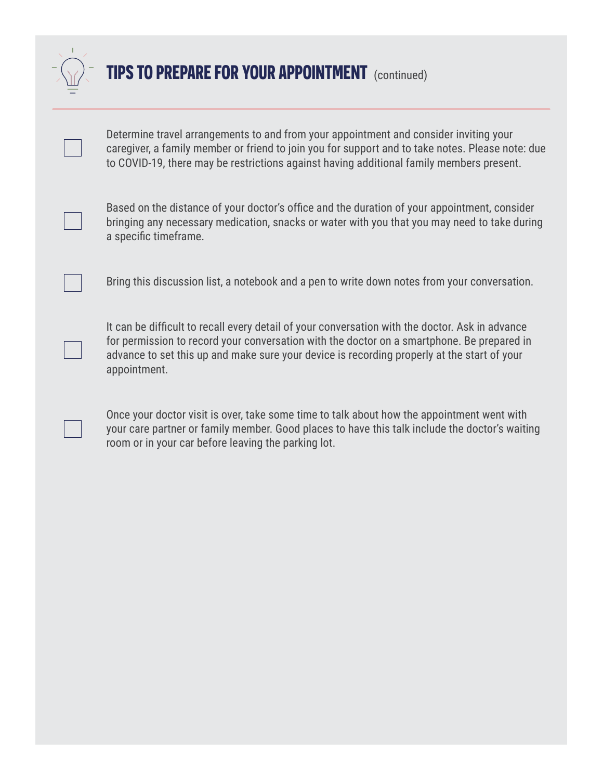

### **TIPS TO PREPARE FOR YOUR APPOINTMENT** (continued)

Determine travel arrangements to and from your appointment and consider inviting your caregiver, a family member or friend to join you for support and to take notes. Please note: due to COVID-19, there may be restrictions against having additional family members present.

Based on the distance of your doctor's office and the duration of your appointment, consider bringing any necessary medication, snacks or water with you that you may need to take during a specific timeframe.

Bring this discussion list, a notebook and a pen to write down notes from your conversation.

It can be difficult to recall every detail of your conversation with the doctor. Ask in advance for permission to record your conversation with the doctor on a smartphone. Be prepared in advance to set this up and make sure your device is recording properly at the start of your appointment.

Once your doctor visit is over, take some time to talk about how the appointment went with your care partner or family member. Good places to have this talk include the doctor's waiting room or in your car before leaving the parking lot.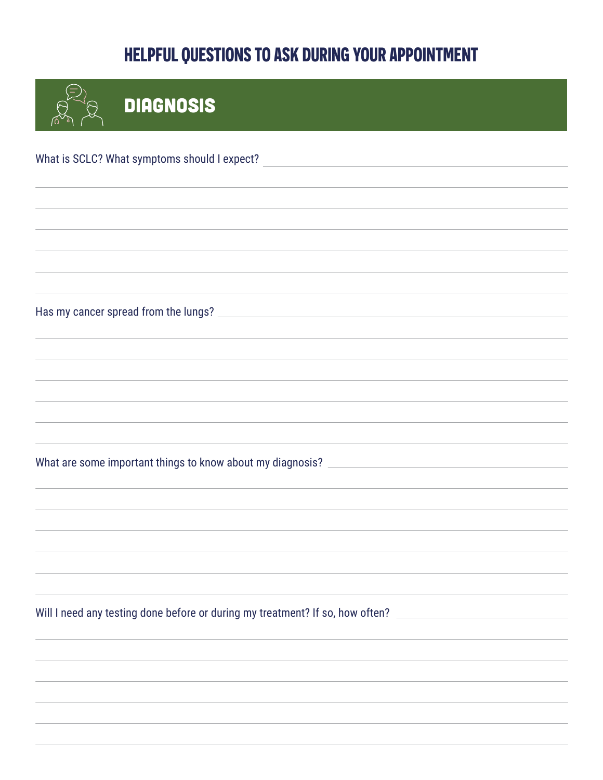| <b>DIAGNOSIS</b>                                                                                                    |
|---------------------------------------------------------------------------------------------------------------------|
| What is SCLC? What symptoms should I expect?<br><u> 1980 - Andrea Station Barbara, amerikan personal (h. 1980).</u> |
|                                                                                                                     |
|                                                                                                                     |
|                                                                                                                     |
|                                                                                                                     |
|                                                                                                                     |
| What are some important things to know about my diagnosis? ______________________                                   |
|                                                                                                                     |
|                                                                                                                     |
| Will I need any testing done before or during my treatment? If so, how often?                                       |
|                                                                                                                     |
|                                                                                                                     |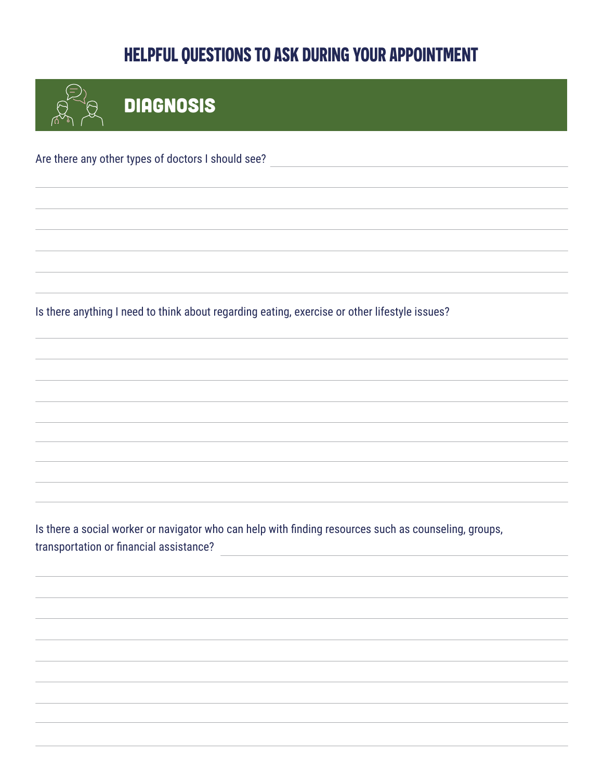**DIAGNOSIS** Are there any other types of doctors I should see?

Is there anything I need to think about regarding eating, exercise or other lifestyle issues?

Is there a social worker or navigator who can help with finding resources such as counseling, groups, transportation or financial assistance?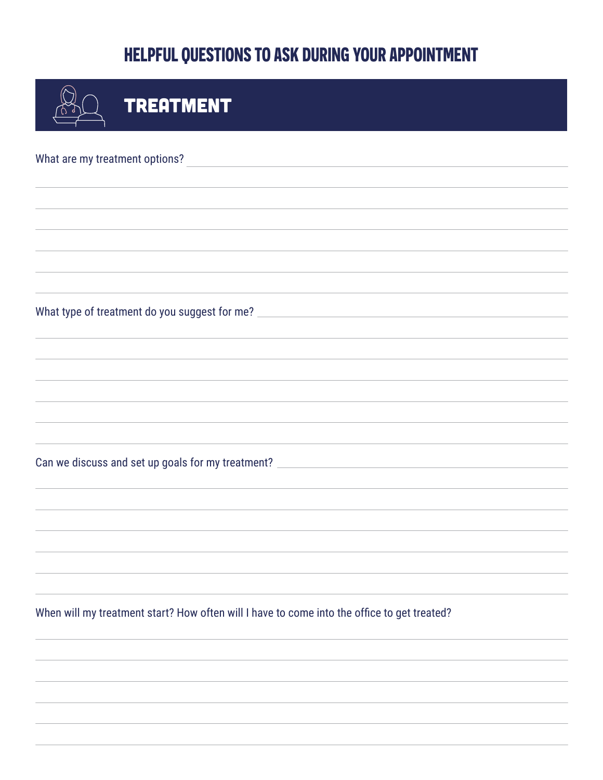| <b>TREATMENT</b>                                                                                                |  |  |  |
|-----------------------------------------------------------------------------------------------------------------|--|--|--|
| What are my treatment options?                                                                                  |  |  |  |
|                                                                                                                 |  |  |  |
|                                                                                                                 |  |  |  |
|                                                                                                                 |  |  |  |
|                                                                                                                 |  |  |  |
|                                                                                                                 |  |  |  |
|                                                                                                                 |  |  |  |
|                                                                                                                 |  |  |  |
|                                                                                                                 |  |  |  |
| Can we discuss and set up goals for my treatment? [200] [201] [201] [201] [201] [201] [201] [201] [201] [201] [ |  |  |  |
|                                                                                                                 |  |  |  |
|                                                                                                                 |  |  |  |
|                                                                                                                 |  |  |  |
| When will my treatment start? How often will I have to come into the office to get treated?                     |  |  |  |
|                                                                                                                 |  |  |  |
|                                                                                                                 |  |  |  |
|                                                                                                                 |  |  |  |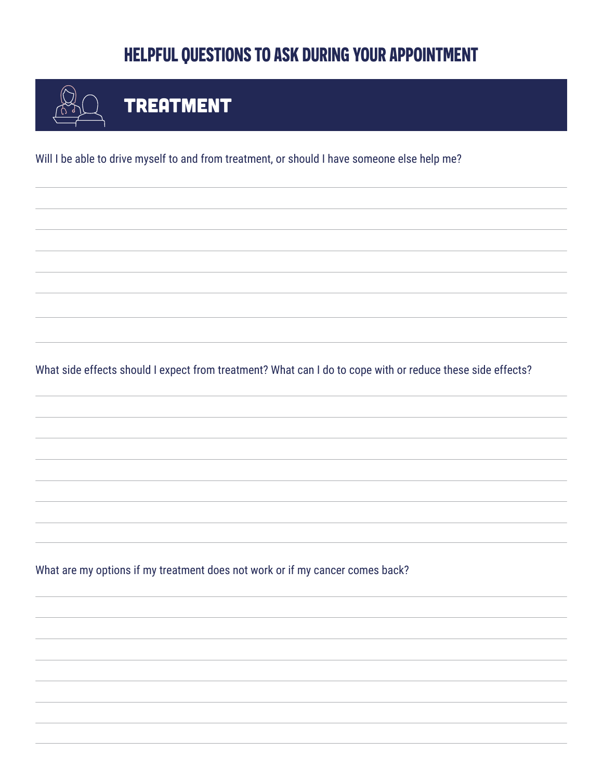

# **TREATMENT**

Will I be able to drive myself to and from treatment, or should I have someone else help me?

What side effects should I expect from treatment? What can I do to cope with or reduce these side effects?

What are my options if my treatment does not work or if my cancer comes back?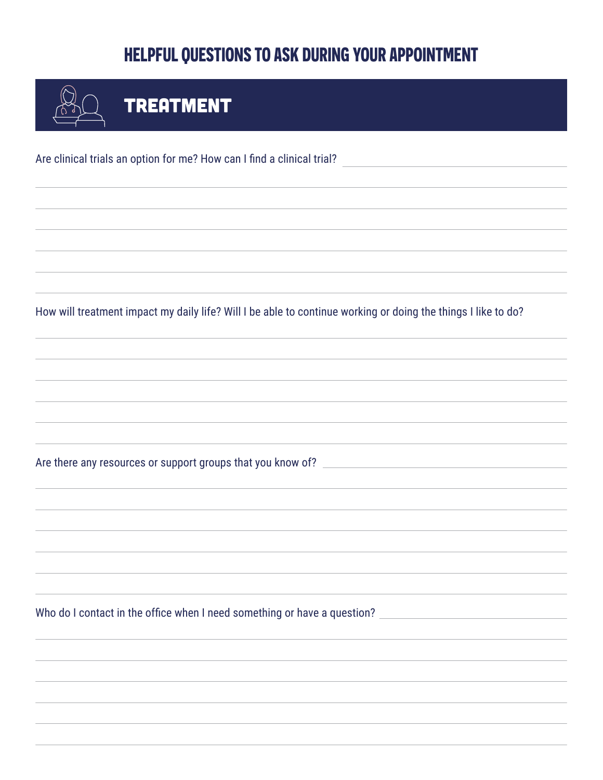| <b>TREATMENT</b>                                                                                              |  |  |  |  |
|---------------------------------------------------------------------------------------------------------------|--|--|--|--|
| Are clinical trials an option for me? How can I find a clinical trial?                                        |  |  |  |  |
|                                                                                                               |  |  |  |  |
|                                                                                                               |  |  |  |  |
| How will treatment impact my daily life? Will I be able to continue working or doing the things I like to do? |  |  |  |  |
|                                                                                                               |  |  |  |  |
|                                                                                                               |  |  |  |  |
|                                                                                                               |  |  |  |  |
|                                                                                                               |  |  |  |  |
|                                                                                                               |  |  |  |  |
| Who do I contact in the office when I need something or have a question?                                      |  |  |  |  |
|                                                                                                               |  |  |  |  |
|                                                                                                               |  |  |  |  |